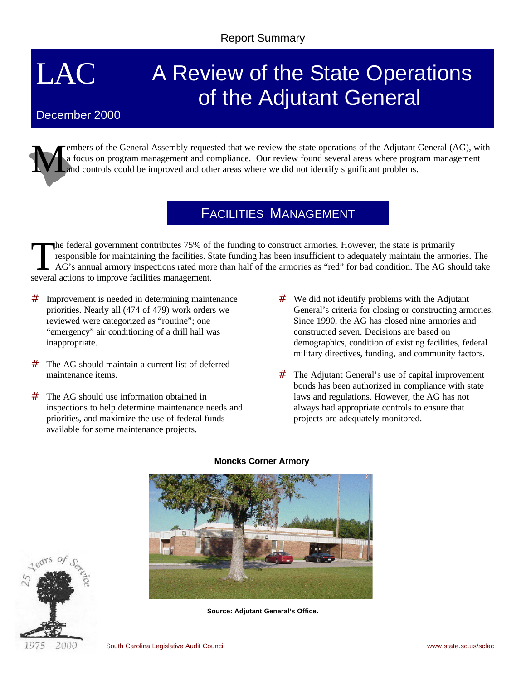# LAC

# A Review of the State Operations of the Adjutant General

### December 2000

M embers of the General Assembly requested that we review the state operations of the Adjutant General (AG), with a focus on program management and compliance. Our review found several areas where program management and controls could be improved and other areas where we did not identify significant problems.

# FACILITIES MANAGEMENT

The federal government contributes 75% of<br>responsible for maintaining the facilities. S<br>AG's annual armory inspections rated more<br>several actions to improve facilities management. he federal government contributes 75% of the funding to construct armories. However, the state is primarily responsible for maintaining the facilities. State funding has been insufficient to adequately maintain the armories. The AG's annual armory inspections rated more than half of the armories as "red" for bad condition. The AG should take

- # Improvement is needed in determining maintenance priorities. Nearly all (474 of 479) work orders we reviewed were categorized as "routine"; one "emergency" air conditioning of a drill hall was inappropriate.
- # The AG should maintain a current list of deferred maintenance items.
- # The AG should use information obtained in inspections to help determine maintenance needs and priorities, and maximize the use of federal funds available for some maintenance projects.
- $#$  We did not identify problems with the Adjutant General's criteria for closing or constructing armories. Since 1990, the AG has closed nine armories and constructed seven. Decisions are based on demographics, condition of existing facilities, federal military directives, funding, and community factors.
- # The Adjutant General's use of capital improvement bonds has been authorized in compliance with state laws and regulations. However, the AG has not always had appropriate controls to ensure that projects are adequately monitored.



#### **Moncks Corner Armory**



**Source: Adjutant General's Office.**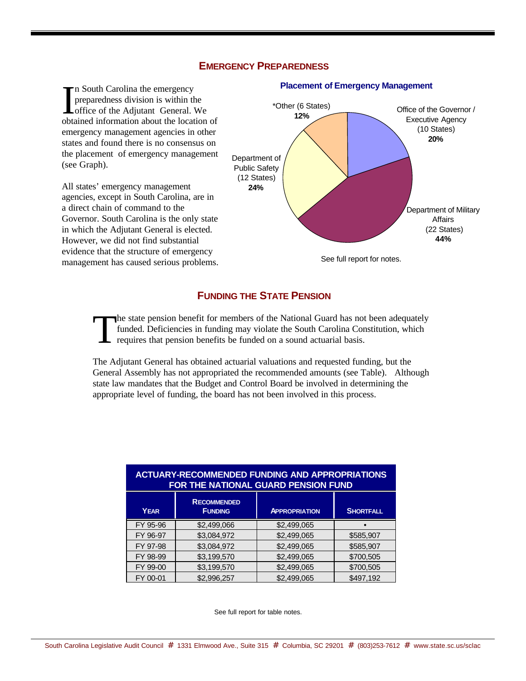#### **EMERGENCY PREPAREDNESS**

In South Carolina the emergency<br>preparedness division is within the<br>office of the Adjutant General. We<br>abtained information about the location n South Carolina the emergency preparedness division is within the obtained information about the location of emergency management agencies in other states and found there is no consensus on the placement of emergency management (see Graph).

All states' emergency management agencies, except in South Carolina, are in a direct chain of command to the Governor. South Carolina is the only state in which the Adjutant General is elected. However, we did not find substantial evidence that the structure of emergency management has caused serious problems.



#### **Placement of Emergency Management**

#### **FUNDING THE STATE PENSION**

T he state pension benefit for members of the National Guard has not been adequately funded. Deficiencies in funding may violate the South Carolina Constitution, which requires that pension benefits be funded on a sound actuarial basis.

The Adjutant General has obtained actuarial valuations and requested funding, but the General Assembly has not appropriated the recommended amounts (see Table). Although state law mandates that the Budget and Control Board be involved in determining the appropriate level of funding, the board has not been involved in this process.

| <b>ACTUARY-RECOMMENDED FUNDING AND APPROPRIATIONS</b><br>FOR THE NATIONAL GUARD PENSION FUND |                                      |                      |                  |
|----------------------------------------------------------------------------------------------|--------------------------------------|----------------------|------------------|
| <b>YEAR</b>                                                                                  | <b>RECOMMENDED</b><br><b>FUNDING</b> | <b>APPROPRIATION</b> | <b>SHORTFALL</b> |
| FY 95-96                                                                                     | \$2,499,066                          | \$2,499,065          |                  |
| FY 96-97                                                                                     | \$3,084,972                          | \$2,499,065          | \$585,907        |
| FY 97-98                                                                                     | \$3,084,972                          | \$2,499,065          | \$585,907        |
| FY 98-99                                                                                     | \$3,199,570                          | \$2,499,065          | \$700,505        |
| FY 99-00                                                                                     | \$3,199,570                          | \$2,499,065          | \$700,505        |
| FY 00-01                                                                                     | \$2,996,257                          | \$2,499,065          | \$497,192        |

See full report for table notes.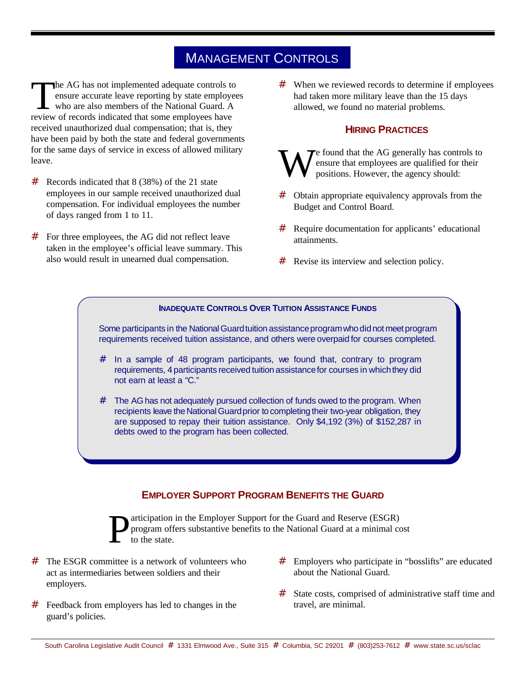# MANAGEMENT CONTROLS

The AG has not implemented adequate controls the employ who are also members of the National Guard. A review of records indicated that some employees have he AG has not implemented adequate controls to ensure accurate leave reporting by state employees who are also members of the National Guard. A received unauthorized dual compensation; that is, they have been paid by both the state and federal governments for the same days of service in excess of allowed military leave.

- # Records indicated that 8 (38%) of the 21 state employees in our sample received unauthorized dual compensation. For individual employees the number of days ranged from 1 to 11.
- # For three employees, the AG did not reflect leave taken in the employee's official leave summary. This also would result in unearned dual compensation.

# When we reviewed records to determine if employees had taken more military leave than the 15 days allowed, we found no material problems.

#### **HIRING PRACTICES**

- W  $\blacktriangledown$  found that the AG generally has controls to ensure that employees are qualified for their positions. However, the agency should:
- # Obtain appropriate equivalency approvals from the Budget and Control Board.
- # Require documentation for applicants' educational attainments.
- Revise its interview and selection policy.

#### **INADEQUATE CONTROLS OVER TUITION ASSISTANCE FUNDS**

Some participants in the National Guard tuition assistance program who did not meet program requirements received tuition assistance, and others were overpaid for courses completed.

- # In a sample of 48 program participants, we found that, contrary to program requirements, 4 participants received tuition assistancefor courses in whichthey did not earn at least a "C."
- # The AG has not adequately pursued collection of funds owed to the program. When recipients leave the National Guard prior to completing their two-year obligation, they are supposed to repay their tuition assistance. Only \$4,192 (3%) of \$152,287 in debts owed to the program has been collected.

#### **EMPLOYER SUPPORT PROGRAM BENEFITS THE GUARD**



articipation in the Employer Support for the Guard and Reserve (ESGR) program offers substantive benefits to the National Guard at a minimal cost to the state.

- $#$  The ESGR committee is a network of volunteers who act as intermediaries between soldiers and their employers.
- # Feedback from employers has led to changes in the guard's policies.
- # Employers who participate in "bosslifts" are educated about the National Guard.
- # State costs, comprised of administrative staff time and travel, are minimal.